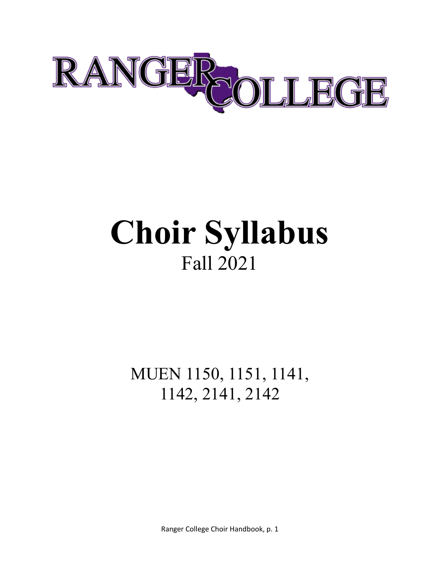

# **Choir Syllabus** Fall 2021

MUEN 1150, 1151, 1141, 1142, 2141, 2142

Ranger College Choir Handbook, p. 1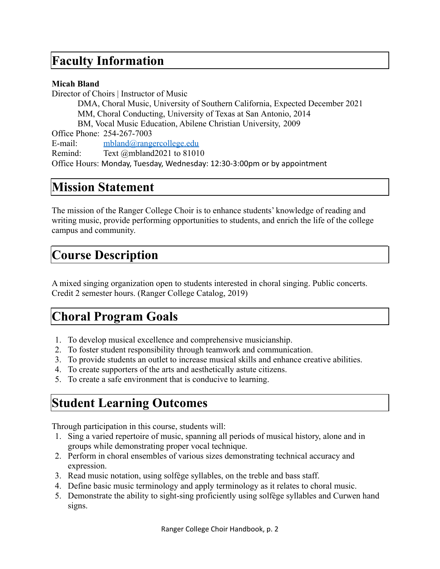### **Faculty Information**

#### **Micah Bland**

Director of Choirs | Instructor of Music DMA, Choral Music, University of Southern California, Expected December 2021 MM, Choral Conducting, University of Texas at San Antonio, 2014 BM, Vocal Music Education, Abilene Christian University, 2009 Office Phone: 254-267-7003 E-mail: [mbland@rangercollege.edu](mailto:mbland@rangercollege.edu) Remind: Text @mbland2021 to 81010 Office Hours: Monday, Tuesday, Wednesday: 12:30-3:00pm or by appointment

### **Mission Statement**

The mission of the Ranger College Choir is to enhance students' knowledge of reading and writing music, provide performing opportunities to students, and enrich the life of the college campus and community.

## **Course Description**

A mixed singing organization open to students interested in choral singing. Public concerts. Credit 2 semester hours. (Ranger College Catalog, 2019)

# **Choral Program Goals**

- 1. To develop musical excellence and comprehensive musicianship.
- 2. To foster student responsibility through teamwork and communication.
- 3. To provide students an outlet to increase musical skills and enhance creative abilities.
- 4. To create supporters of the arts and aesthetically astute citizens.
- 5. To create a safe environment that is conducive to learning.

# **Student Learning Outcomes**

Through participation in this course, students will:

- 1. Sing a varied repertoire of music, spanning all periods of musical history, alone and in groups while demonstrating proper vocal technique.
- 2. Perform in choral ensembles of various sizes demonstrating technical accuracy and expression.
- 3. Read music notation, using solfège syllables, on the treble and bass staff.
- 4. Define basic music terminology and apply terminology as it relates to choral music.
- 5. Demonstrate the ability to sight-sing proficiently using solfège syllables and Curwen hand signs.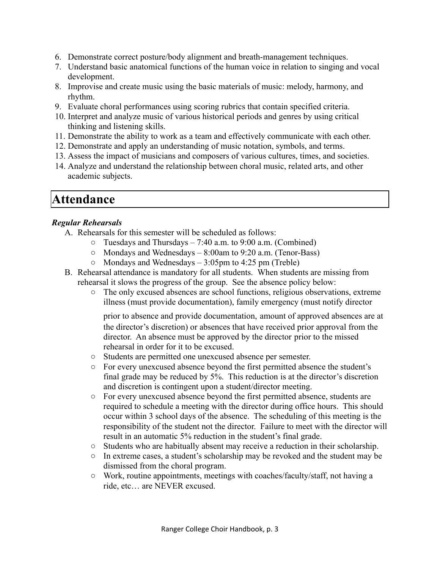- 6. Demonstrate correct posture/body alignment and breath-management techniques.
- 7. Understand basic anatomical functions of the human voice in relation to singing and vocal development.
- 8. Improvise and create music using the basic materials of music: melody, harmony, and rhythm.
- 9. Evaluate choral performances using scoring rubrics that contain specified criteria.
- 10. Interpret and analyze music of various historical periods and genres by using critical thinking and listening skills.
- 11. Demonstrate the ability to work as a team and effectively communicate with each other.
- 12. Demonstrate and apply an understanding of music notation, symbols, and terms.
- 13. Assess the impact of musicians and composers of various cultures, times, and societies.
- 14. Analyze and understand the relationship between choral music, related arts, and other academic subjects.

### **Attendance**

#### *Regular Rehearsals*

- A. Rehearsals for this semester will be scheduled as follows:
	- $\circ$  Tuesdays and Thursdays 7:40 a.m. to 9:00 a.m. (Combined)
	- $\circ$  Mondays and Wednesdays 8:00am to 9:20 a.m. (Tenor-Bass)
	- $\circ$  Mondays and Wednesdays 3:05pm to 4:25 pm (Treble)
- B. Rehearsal attendance is mandatory for all students. When students are missing from rehearsal it slows the progress of the group. See the absence policy below:
	- The only excused absences are school functions, religious observations, extreme illness (must provide documentation), family emergency (must notify director

prior to absence and provide documentation, amount of approved absences are at the director's discretion) or absences that have received prior approval from the director. An absence must be approved by the director prior to the missed rehearsal in order for it to be excused.

- Students are permitted one unexcused absence per semester.
- For every unexcused absence beyond the first permitted absence the student's final grade may be reduced by 5%. This reduction is at the director's discretion and discretion is contingent upon a student/director meeting.
- For every unexcused absence beyond the first permitted absence, students are required to schedule a meeting with the director during office hours. This should occur within 3 school days of the absence. The scheduling of this meeting is the responsibility of the student not the director. Failure to meet with the director will result in an automatic 5% reduction in the student's final grade.
- Students who are habitually absent may receive a reduction in their scholarship.
- In extreme cases, a student's scholarship may be revoked and the student may be dismissed from the choral program.
- Work, routine appointments, meetings with coaches/faculty/staff, not having a ride, etc… are NEVER excused.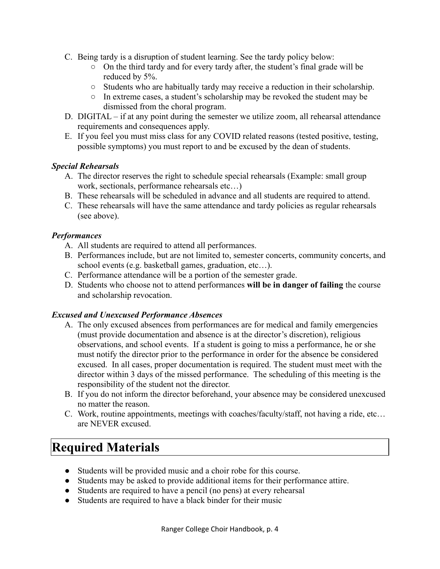- C. Being tardy is a disruption of student learning. See the tardy policy below:
	- On the third tardy and for every tardy after, the student's final grade will be reduced by 5%.
	- Students who are habitually tardy may receive a reduction in their scholarship.
	- In extreme cases, a student's scholarship may be revoked the student may be dismissed from the choral program.
- D. DIGITAL if at any point during the semester we utilize zoom, all rehearsal attendance requirements and consequences apply.
- E. If you feel you must miss class for any COVID related reasons (tested positive, testing, possible symptoms) you must report to and be excused by the dean of students.

#### *Special Rehearsals*

- A. The director reserves the right to schedule special rehearsals (Example: small group work, sectionals, performance rehearsals etc…)
- B. These rehearsals will be scheduled in advance and all students are required to attend.
- C. These rehearsals will have the same attendance and tardy policies as regular rehearsals (see above).

#### *Performances*

- A. All students are required to attend all performances.
- B. Performances include, but are not limited to, semester concerts, community concerts, and school events (e.g. basketball games, graduation, etc…).
- C. Performance attendance will be a portion of the semester grade.
- D. Students who choose not to attend performances **will be in danger of failing** the course and scholarship revocation.

#### *Excused and Unexcused Performance Absences*

- A. The only excused absences from performances are for medical and family emergencies (must provide documentation and absence is at the director's discretion), religious observations, and school events. If a student is going to miss a performance, he or she must notify the director prior to the performance in order for the absence be considered excused. In all cases, proper documentation is required. The student must meet with the director within 3 days of the missed performance. The scheduling of this meeting is the responsibility of the student not the director.
- B. If you do not inform the director beforehand, your absence may be considered unexcused no matter the reason.
- C. Work, routine appointments, meetings with coaches/faculty/staff, not having a ride, etc… are NEVER excused.

# **Required Materials**

- Students will be provided music and a choir robe for this course.
- Students may be asked to provide additional items for their performance attire.
- Students are required to have a pencil (no pens) at every rehearsal
- Students are required to have a black binder for their music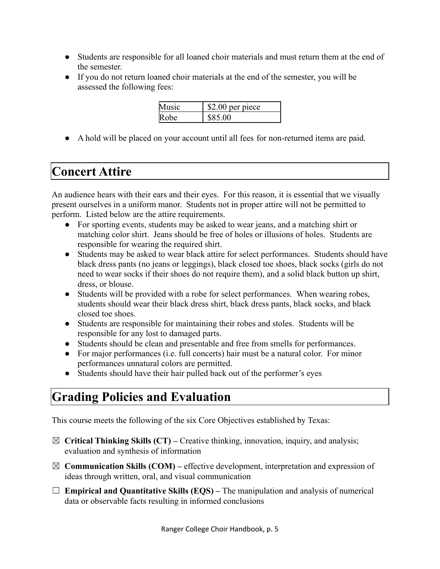- Students are responsible for all loaned choir materials and must return them at the end of the semester.
- If you do not return loaned choir materials at the end of the semester, you will be assessed the following fees:

| Ausic- | \$2.00 per piece |
|--------|------------------|
| lRohe. |                  |

● A hold will be placed on your account until all fees for non-returned items are paid.

# **Concert Attire**

An audience hears with their ears and their eyes. For this reason, it is essential that we visually present ourselves in a uniform manor. Students not in proper attire will not be permitted to perform. Listed below are the attire requirements.

- For sporting events, students may be asked to wear jeans, and a matching shirt or matching color shirt. Jeans should be free of holes or illusions of holes. Students are responsible for wearing the required shirt.
- Students may be asked to wear black attire for select performances. Students should have black dress pants (no jeans or leggings), black closed toe shoes, black socks (girls do not need to wear socks if their shoes do not require them), and a solid black button up shirt, dress, or blouse.
- Students will be provided with a robe for select performances. When wearing robes, students should wear their black dress shirt, black dress pants, black socks, and black closed toe shoes.
- Students are responsible for maintaining their robes and stoles. Students will be responsible for any lost to damaged parts.
- Students should be clean and presentable and free from smells for performances.
- For major performances (i.e. full concerts) hair must be a natural color. For minor performances unnatural colors are permitted.
- Students should have their hair pulled back out of the performer's eyes

# **Grading Policies and Evaluation**

This course meets the following of the six Core Objectives established by Texas:

- ☒ **Critical Thinking Skills (CT) –** Creative thinking, innovation, inquiry, and analysis; evaluation and synthesis of information
- ☒ **Communication Skills (COM) –** effective development, interpretation and expression of ideas through written, oral, and visual communication
- ☐ **Empirical and Quantitative Skills (EQS) –** The manipulation and analysis of numerical data or observable facts resulting in informed conclusions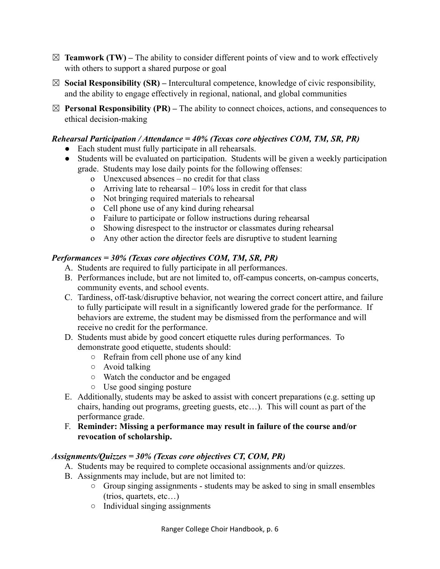- $\boxtimes$  **Teamwork (TW)** The ability to consider different points of view and to work effectively with others to support a shared purpose or goal
- ☒ **Social Responsibility (SR) –** Intercultural competence, knowledge of civic responsibility, and the ability to engage effectively in regional, national, and global communities
- $\boxtimes$  **Personal Responsibility (PR)** The ability to connect choices, actions, and consequences to ethical decision-making

#### *Rehearsal Participation / Attendance = 40% (Texas core objectives COM, TM, SR, PR)*

- Each student must fully participate in all rehearsals.
- Students will be evaluated on participation. Students will be given a weekly participation grade. Students may lose daily points for the following offenses:
	- o Unexcused absences no credit for that class
	- o Arriving late to rehearsal  $-10\%$  loss in credit for that class
	- o Not bringing required materials to rehearsal
	- o Cell phone use of any kind during rehearsal
	- o Failure to participate or follow instructions during rehearsal
	- o Showing disrespect to the instructor or classmates during rehearsal
	- o Any other action the director feels are disruptive to student learning

#### *Performances = 30% (Texas core objectives COM, TM, SR, PR)*

- A. Students are required to fully participate in all performances.
- B. Performances include, but are not limited to, off-campus concerts, on-campus concerts, community events, and school events.
- C. Tardiness, off-task/disruptive behavior, not wearing the correct concert attire, and failure to fully participate will result in a significantly lowered grade for the performance. If behaviors are extreme, the student may be dismissed from the performance and will receive no credit for the performance.
- D. Students must abide by good concert etiquette rules during performances. To demonstrate good etiquette, students should:
	- Refrain from cell phone use of any kind
	- Avoid talking
	- Watch the conductor and be engaged
	- Use good singing posture
- E. Additionally, students may be asked to assist with concert preparations (e.g. setting up chairs, handing out programs, greeting guests, etc…). This will count as part of the performance grade.
- F. **Reminder: Missing a performance may result in failure of the course and/or revocation of scholarship.**

#### *Assignments/Quizzes = 30% (Texas core objectives CT, COM, PR)*

- A. Students may be required to complete occasional assignments and/or quizzes.
- B. Assignments may include, but are not limited to:
	- Group singing assignments students may be asked to sing in small ensembles (trios, quartets, etc…)
	- Individual singing assignments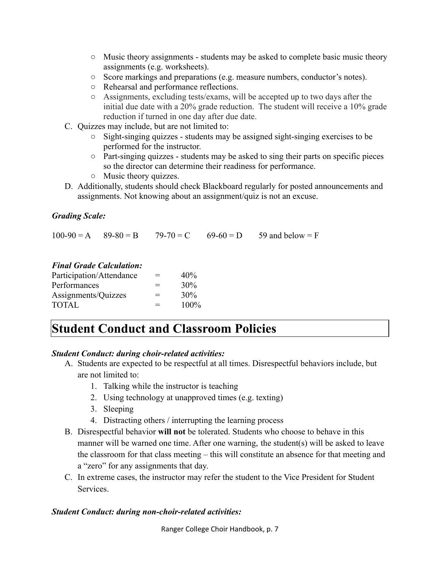- $\circ$  Music theory assignments students may be asked to complete basic music theory assignments (e.g. worksheets).
- Score markings and preparations (e.g. measure numbers, conductor's notes).
- Rehearsal and performance reflections.
- Assignments, excluding tests/exams, will be accepted up to two days after the initial due date with a 20% grade reduction. The student will receive a 10% grade reduction if turned in one day after due date.
- C. Quizzes may include, but are not limited to:
	- Sight-singing quizzes students may be assigned sight-singing exercises to be performed for the instructor.
	- Part-singing quizzes students may be asked to sing their parts on specific pieces so the director can determine their readiness for performance.
	- Music theory quizzes.
- D. Additionally, students should check Blackboard regularly for posted announcements and assignments. Not knowing about an assignment/quiz is not an excuse.

#### *Grading Scale:*

 $100-90 = A$  89-80 = B 79-70 = C 69-60 = D 59 and below = F

#### *Final Grade Calculation:*

| Participation/Attendance | $=$ | 40%     |
|--------------------------|-----|---------|
| Performances             | $=$ | 30%     |
| Assignments/Quizzes      | $=$ | 30%     |
| <b>TOTAL</b>             | $=$ | $100\%$ |

### **Student Conduct and Classroom Policies**

#### *Student Conduct: during choir-related activities:*

- A. Students are expected to be respectful at all times. Disrespectful behaviors include, but are not limited to:
	- 1. Talking while the instructor is teaching
	- 2. Using technology at unapproved times (e.g. texting)
	- 3. Sleeping
	- 4. Distracting others / interrupting the learning process
- B. Disrespectful behavior **will not** be tolerated. Students who choose to behave in this manner will be warned one time. After one warning, the student(s) will be asked to leave the classroom for that class meeting – this will constitute an absence for that meeting and a "zero" for any assignments that day.
- C. In extreme cases, the instructor may refer the student to the Vice President for Student Services.

#### *Student Conduct: during non-choir-related activities:*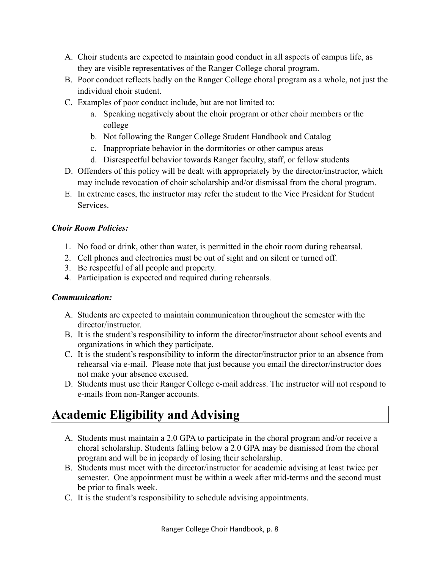- A. Choir students are expected to maintain good conduct in all aspects of campus life, as they are visible representatives of the Ranger College choral program.
- B. Poor conduct reflects badly on the Ranger College choral program as a whole, not just the individual choir student.
- C. Examples of poor conduct include, but are not limited to:
	- a. Speaking negatively about the choir program or other choir members or the college
	- b. Not following the Ranger College Student Handbook and Catalog
	- c. Inappropriate behavior in the dormitories or other campus areas
	- d. Disrespectful behavior towards Ranger faculty, staff, or fellow students
- D. Offenders of this policy will be dealt with appropriately by the director/instructor, which may include revocation of choir scholarship and/or dismissal from the choral program.
- E. In extreme cases, the instructor may refer the student to the Vice President for Student **Services**

#### *Choir Room Policies:*

- 1. No food or drink, other than water, is permitted in the choir room during rehearsal.
- 2. Cell phones and electronics must be out of sight and on silent or turned off.
- 3. Be respectful of all people and property.
- 4. Participation is expected and required during rehearsals.

#### *Communication:*

- A. Students are expected to maintain communication throughout the semester with the director/instructor.
- B. It is the student's responsibility to inform the director/instructor about school events and organizations in which they participate.
- C. It is the student's responsibility to inform the director/instructor prior to an absence from rehearsal via e-mail. Please note that just because you email the director/instructor does not make your absence excused.
- D. Students must use their Ranger College e-mail address. The instructor will not respond to e-mails from non-Ranger accounts.

# **Academic Eligibility and Advising**

- A. Students must maintain a 2.0 GPA to participate in the choral program and/or receive a choral scholarship. Students falling below a 2.0 GPA may be dismissed from the choral program and will be in jeopardy of losing their scholarship.
- B. Students must meet with the director/instructor for academic advising at least twice per semester. One appointment must be within a week after mid-terms and the second must be prior to finals week.
- C. It is the student's responsibility to schedule advising appointments.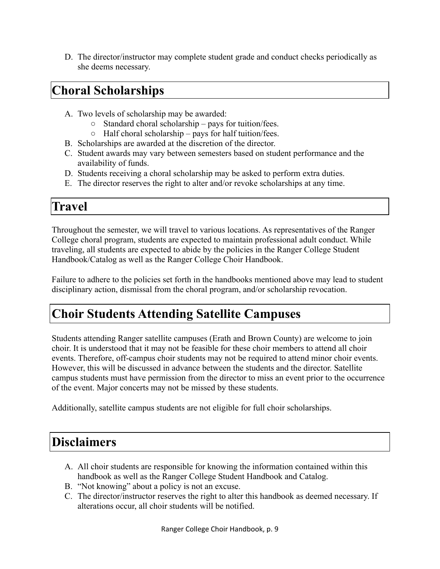D. The director/instructor may complete student grade and conduct checks periodically as she deems necessary.

# **Choral Scholarships**

- A. Two levels of scholarship may be awarded:
	- Standard choral scholarship pays for tuition/fees.
	- $\circ$  Half choral scholarship pays for half tuition/fees.
- B. Scholarships are awarded at the discretion of the director.
- C. Student awards may vary between semesters based on student performance and the availability of funds.
- D. Students receiving a choral scholarship may be asked to perform extra duties.
- E. The director reserves the right to alter and/or revoke scholarships at any time.

### **Travel**

Throughout the semester, we will travel to various locations. As representatives of the Ranger College choral program, students are expected to maintain professional adult conduct. While traveling, all students are expected to abide by the policies in the Ranger College Student Handbook/Catalog as well as the Ranger College Choir Handbook.

Failure to adhere to the policies set forth in the handbooks mentioned above may lead to student disciplinary action, dismissal from the choral program, and/or scholarship revocation.

# **Choir Students Attending Satellite Campuses**

Students attending Ranger satellite campuses (Erath and Brown County) are welcome to join choir. It is understood that it may not be feasible for these choir members to attend all choir events. Therefore, off-campus choir students may not be required to attend minor choir events. However, this will be discussed in advance between the students and the director. Satellite campus students must have permission from the director to miss an event prior to the occurrence of the event. Major concerts may not be missed by these students.

Additionally, satellite campus students are not eligible for full choir scholarships.

### **Disclaimers**

- A. All choir students are responsible for knowing the information contained within this handbook as well as the Ranger College Student Handbook and Catalog.
- B. "Not knowing" about a policy is not an excuse.
- C. The director/instructor reserves the right to alter this handbook as deemed necessary. If alterations occur, all choir students will be notified.